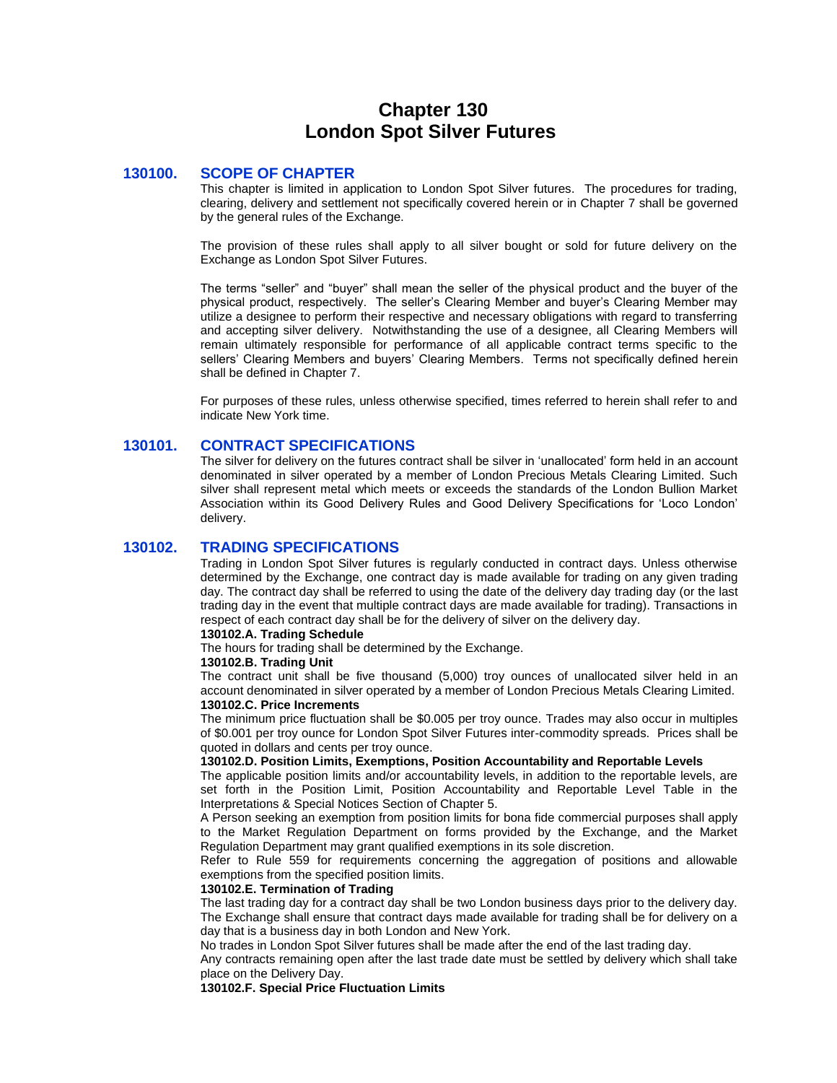# **Chapter 130 London Spot Silver Futures**

# **130100. SCOPE OF CHAPTER**

This chapter is limited in application to London Spot Silver futures. The procedures for trading, clearing, delivery and settlement not specifically covered herein or in Chapter 7 shall be governed by the general rules of the Exchange.

The provision of these rules shall apply to all silver bought or sold for future delivery on the Exchange as London Spot Silver Futures.

The terms "seller" and "buyer" shall mean the seller of the physical product and the buyer of the physical product, respectively. The seller's Clearing Member and buyer's Clearing Member may utilize a designee to perform their respective and necessary obligations with regard to transferring and accepting silver delivery. Notwithstanding the use of a designee, all Clearing Members will remain ultimately responsible for performance of all applicable contract terms specific to the sellers' Clearing Members and buyers' Clearing Members. Terms not specifically defined herein shall be defined in Chapter 7.

For purposes of these rules, unless otherwise specified, times referred to herein shall refer to and indicate New York time.

# **130101. CONTRACT SPECIFICATIONS**

The silver for delivery on the futures contract shall be silver in 'unallocated' form held in an account denominated in silver operated by a member of London Precious Metals Clearing Limited. Such silver shall represent metal which meets or exceeds the standards of the London Bullion Market Association within its Good Delivery Rules and Good Delivery Specifications for 'Loco London' delivery.

# **130102. TRADING SPECIFICATIONS**

Trading in London Spot Silver futures is regularly conducted in contract days. Unless otherwise determined by the Exchange, one contract day is made available for trading on any given trading day. The contract day shall be referred to using the date of the delivery day trading day (or the last trading day in the event that multiple contract days are made available for trading). Transactions in respect of each contract day shall be for the delivery of silver on the delivery day.

## **130102.A. Trading Schedule**

The hours for trading shall be determined by the Exchange.

### **130102.B. Trading Unit**

The contract unit shall be five thousand (5,000) troy ounces of unallocated silver held in an account denominated in silver operated by a member of London Precious Metals Clearing Limited. **130102.C. Price Increments**

The minimum price fluctuation shall be \$0.005 per troy ounce. Trades may also occur in multiples of \$0.001 per troy ounce for London Spot Silver Futures inter-commodity spreads. Prices shall be quoted in dollars and cents per troy ounce.

# **130102.D. Position Limits, Exemptions, Position Accountability and Reportable Levels**

The applicable position limits and/or accountability levels, in addition to the reportable levels, are set forth in the Position Limit, Position Accountability and Reportable Level Table in the Interpretations & Special Notices Section of Chapter 5.

A Person seeking an exemption from position limits for bona fide commercial purposes shall apply to the Market Regulation Department on forms provided by the Exchange, and the Market Regulation Department may grant qualified exemptions in its sole discretion.

Refer to Rule 559 for requirements concerning the aggregation of positions and allowable exemptions from the specified position limits.

# **130102.E. Termination of Trading**

The last trading day for a contract day shall be two London business days prior to the delivery day. The Exchange shall ensure that contract days made available for trading shall be for delivery on a day that is a business day in both London and New York.

No trades in London Spot Silver futures shall be made after the end of the last trading day.

Any contracts remaining open after the last trade date must be settled by delivery which shall take place on the Delivery Day.

**130102.F. Special Price Fluctuation Limits**